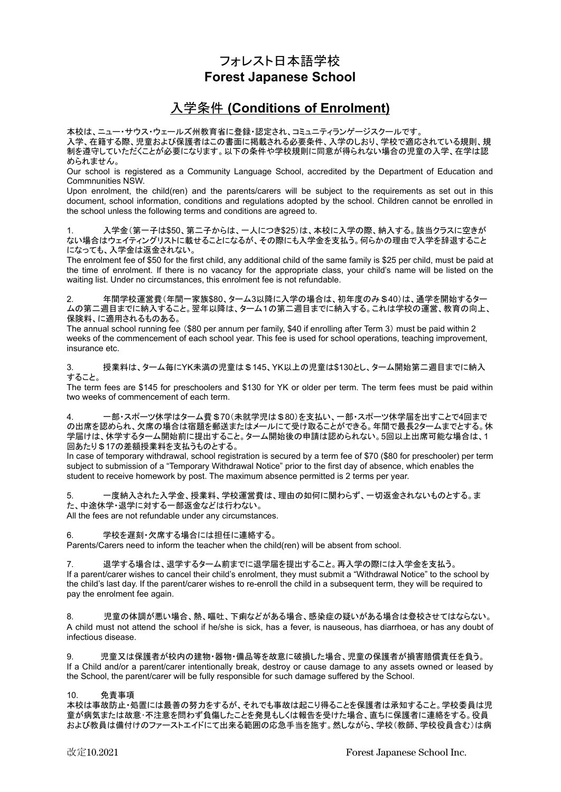## フォレスト日本語学校 **Forest Japanese School**

# 入学条件 **(Conditions of Enrolment)**

本校は、ニュー・サウス・ウェールズ州教育省に登録・認定され、コミュニティランゲージスクールです。 入学、在籍する際、児童および保護者はこの書面に掲載される必要条件、入学のしおり、学校で適応されている規則、規 制を遵守していただくことが必要になります。以下の条件や学校規則に同意が得られない場合の児童の入学、在学は認 められません。

Our school is registered as a Community Language School, accredited by the Department of Education and Commnunities NSW.

Upon enrolment, the child(ren) and the parents/carers will be subject to the requirements as set out in this document, school information, conditions and regulations adopted by the school. Children cannot be enrolled in the school unless the following terms and conditions are agreed to.

入学金(第一子は\$50、第二子からは、一人につき\$25)は、本校に入学の際、納入する。該当クラスに空きが ない場合はウェイティングリストに載せることになるが、その際にも入学金を支払う。何らかの理由で入学を辞退すること になっても、入学金は返金されない。

The enrolment fee of \$50 for the first child, any additional child of the same family is \$25 per child, must be paid at the time of enrolment. If there is no vacancy for the appropriate class, your child's name will be listed on the waiting list. Under no circumstances, this enrolment fee is not refundable.

2. 年間学校運営費(年間一家族\$80、ターム3以降に入学の場合は、初年度のみ\$40)は、通学を開始するター ムの第二週目までに納入すること。翌年以降は、ターム1の第二週目までに納入する。これは学校の運営、教育の向上、 保険料、に適用されるものある。

The annual school running fee (\$80 per annum per family, \$40 if enrolling after Term 3) must be paid within 2 weeks of the commencement of each school year. This fee is used for school operations, teaching improvement, insurance etc.

3. 授業料は、ターム毎にYK未満の児童は\$145、YK以上の児童は\$130とし、ターム開始第二週目までに納入 すること。

The term fees are \$145 for preschoolers and \$130 for YK or older per term. The term fees must be paid within two weeks of commencement of each term.

ー部・スポーツ休学はターム費 \$70(未就学児は \$80)を支払い、一部・スポーツ休学届を出すことで4回まで の出席を認められ、欠席の場合は宿題を郵送またはメールにて受け取ることができる。年間で最長2タームまでとする。休 学届けは、休学するターム開始前に提出すること。ターム開始後の申請は認められない。5回以上出席可能な場合は、1 回あたり \$17の差額授業料を支払うものとする。

In case of temporary withdrawal, school registration is secured by a term fee of \$70 (\$80 for preschooler) per term subject to submission of a "Temporary Withdrawal Notice" prior to the first day of absence, which enables the student to receive homework by post. The maximum absence permitted is 2 terms per year.

5. 一度納入された入学金、授業料、学校運営費は、理由の如何に関わらず、一切返金されないものとする。ま た、中途休学・退学に対する一部返金などは行わない。 All the fees are not refundable under any circumstances.

6. 学校を遅刻・欠席する場合には担任に連絡する。

Parents/Carers need to inform the teacher when the child(ren) will be absent from school.

退学する場合は、退学するターム前までに退学届を提出すること。再入学の際には入学金を支払う。 If a parent/carer wishes to cancel their child's enrolment, they must submit a "Withdrawal Notice" to the school by the child's last day. If the parent/carer wishes to re-enroll the child in a subsequent term, they will be required to pay the enrolment fee again.

8. 児童の体調が悪い場合、熱、嘔吐、下痢などがある場合、感染症の疑いがある場合は登校させてはならない。 A child must not attend the school if he/she is sick, has a fever, is nauseous, has diarrhoea, or has any doubt of infectious disease.

9. 児童又は保護者が校内の建物・器物・備品等を故意に破損した場合、児童の保護者が損害賠償責任を負う。 If a Child and/or a parent/carer intentionally break, destroy or cause damage to any assets owned or leased by the School, the parent/carer will be fully responsible for such damage suffered by the School.

### 10. 免責事項

本校は事故防止・処置には最善の努力をするが、それでも事故は起こり得ることを保護者は承知すること。学校委員は児 童が病気または故意・不注意を問わず負傷したことを発見もしくは報告を受けた場合、直ちに保護者に連絡をする。役員 および教員は備付けのファーストエイドにて出来る範囲の応急手当を施す。然しながら、学校(教師、学校役員含む)は病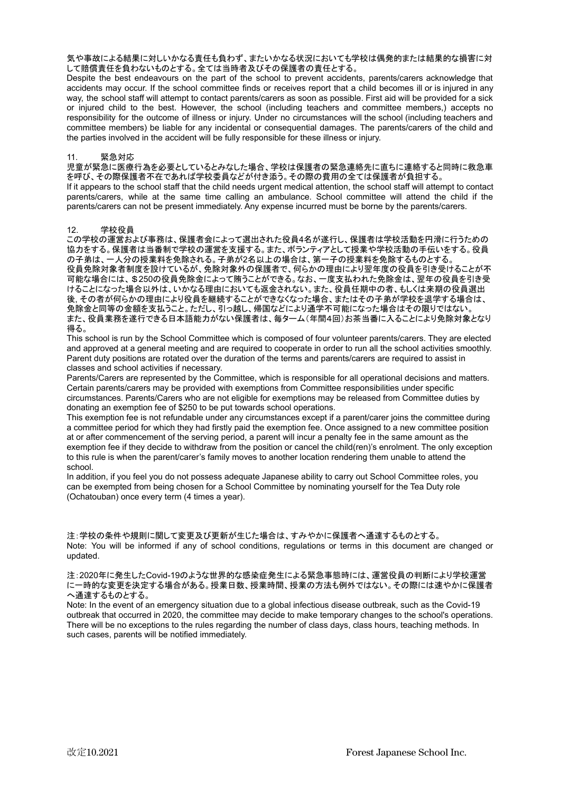気や事故による結果に対しいかなる責任も負わず、またいかなる状況においても学校は偶発的または結果的な損害に対 して賠償責任を負わないものとする。全ては当時者及びその保護者の責任とする。

Despite the best endeavours on the part of the school to prevent accidents, parents/carers acknowledge that accidents may occur. If the school committee finds or receives report that a child becomes ill or is injured in any way, the school staff will attempt to contact parents/carers as soon as possible. First aid will be provided for a sick or injured child to the best. However, the school (including teachers and committee members,) accepts no responsibility for the outcome of illness or injury. Under no circumstances will the school (including teachers and committee members) be liable for any incidental or consequential damages. The parents/carers of the child and the parties involved in the accident will be fully responsible for these illness or injury.

#### 11. 緊急対応

児童が緊急に医療行為を必要としているとみなした場合、学校は保護者の緊急連絡先に直ちに連絡すると同時に救急車 を呼び、その際保護者不在であれば学校委員などが付き添う。その際の費用の全ては保護者が負担する。

If it appears to the school staff that the child needs urgent medical attention, the school staff will attempt to contact parents/carers, while at the same time calling an ambulance. School committee will attend the child if the parents/carers can not be present immediately. Any expense incurred must be borne by the parents/carers.

#### 12. 学校役員

この学校の運営および事務は、保護者会によって選出された役員4名が遂行し、保護者は学校活動を円滑に行うための 協力をする。保護者は当番制で学校の運営を支援する。また、ボランティアとして授業や学校活動の手伝いをする。役員 の子弟は、一人分の授業料を免除される。子弟が2名以上の場合は、第一子の授業料を免除するものとする。 役員免除対象者制度を設けているが、免除対象外の保護者で、何らかの理由により翌年度の役員を引き受けることが不 可能な場合には、\$250の役員免除金によって賄うことができる。なお、一度支払われた免除金は、翌年の役員を引き受 けることになった場合以外は、いかなる理由においても返金されない。また、役員任期中の者、もしくは来期の役員選出 後, その者が何らかの理由により役員を継続することができなくなった場合、またはその子弟が学校を退学する場合は、 免除金と同等の金額を支払うこと。ただし、引っ越し、帰国などにより通学不可能になった場合はその限りではない。 また、役員業務を遂行できる日本語能力がない保護者は、毎ターム(年間4回)お茶当番に入ることにより免除対象となり 得る。

This school is run by the School Committee which is composed of four volunteer parents/carers. They are elected and approved at a general meeting and are required to cooperate in order to run all the school activities smoothly. Parent duty positions are rotated over the duration of the terms and parents/carers are required to assist in classes and school activities if necessary.

Parents/Carers are represented by the Committee, which is responsible for all operational decisions and matters. Certain parents/carers may be provided with exemptions from Committee responsibilities under specific circumstances. Parents/Carers who are not eligible for exemptions may be released from Committee duties by donating an exemption fee of \$250 to be put towards school operations.

This exemption fee is not refundable under any circumstances except if a parent/carer joins the committee during a committee period for which they had firstly paid the exemption fee. Once assigned to a new committee position at or after commencement of the serving period, a parent will incur a penalty fee in the same amount as the exemption fee if they decide to withdraw from the position or cancel the child(ren)'s enrolment. The only exception to this rule is when the parent/carer's family moves to another location rendering them unable to attend the school.

In addition, if you feel you do not possess adequate Japanese ability to carry out School Committee roles, you can be exempted from being chosen for a School Committee by nominating yourself for the Tea Duty role (Ochatouban) once every term (4 times a year).

注:学校の条件や規則に関して変更及び更新が生じた場合は、すみやかに保護者へ通達するものとする。 Note: You will be informed if any of school conditions, regulations or terms in this document are changed or updated.

注:2020年に発生したCovid-19のような世界的な感染症発生による緊急事態時には、運営役員の判断により学校運営 に一時的な変更を決定する場合がある。授業日数、授業時間、授業の方法も例外ではない。その際には速やかに保護者 へ通達するものとする。

Note: In the event of an emergency situation due to a global infectious disease outbreak, such as the Covid-19 outbreak that occurred in 2020, the committee may decide to make temporary changes to the school's operations. There will be no exceptions to the rules regarding the number of class days, class hours, teaching methods. In such cases, parents will be notified immediately.